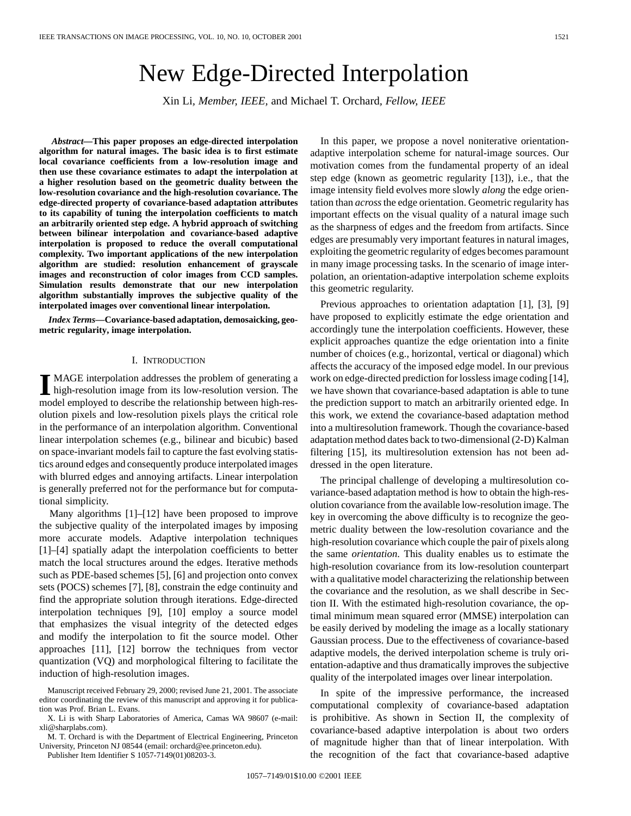# New Edge-Directed Interpolation

Xin Li*, Member, IEEE,* and Michael T. Orchard*, Fellow, IEEE*

*Abstract—***This paper proposes an edge-directed interpolation algorithm for natural images. The basic idea is to first estimate local covariance coefficients from a low-resolution image and then use these covariance estimates to adapt the interpolation at a higher resolution based on the geometric duality between the low-resolution covariance and the high-resolution covariance. The edge-directed property of covariance-based adaptation attributes to its capability of tuning the interpolation coefficients to match an arbitrarily oriented step edge. A hybrid approach of switching between bilinear interpolation and covariance-based adaptive interpolation is proposed to reduce the overall computational complexity. Two important applications of the new interpolation algorithm are studied: resolution enhancement of grayscale images and reconstruction of color images from CCD samples. Simulation results demonstrate that our new interpolation algorithm substantially improves the subjective quality of the interpolated images over conventional linear interpolation.**

*Index Terms—***Covariance-based adaptation, demosaicking, geometric regularity, image interpolation.**

# I. INTRODUCTION

I MAGE interpolation addresses the problem of generating a<br>high-resolution image from its low-resolution version. The<br>needed and the problem is between high are model employed to describe the relationship between high-resolution pixels and low-resolution pixels plays the critical role in the performance of an interpolation algorithm. Conventional linear interpolation schemes (e.g., bilinear and bicubic) based on space-invariant models fail to capture the fast evolving statistics around edges and consequently produce interpolated images with blurred edges and annoying artifacts. Linear interpolation is generally preferred not for the performance but for computational simplicity.

Many algorithms [1]–[12] have been proposed to improve the subjective quality of the interpolated images by imposing more accurate models. Adaptive interpolation techniques [1]–[4] spatially adapt the interpolation coefficients to better match the local structures around the edges. Iterative methods such as PDE-based schemes [5], [6] and projection onto convex sets (POCS) schemes [7], [8], constrain the edge continuity and find the appropriate solution through iterations. Edge-directed interpolation techniques [9], [10] employ a source model that emphasizes the visual integrity of the detected edges and modify the interpolation to fit the source model. Other approaches [11], [12] borrow the techniques from vector quantization (VQ) and morphological filtering to facilitate the induction of high-resolution images.

M. T. Orchard is with the Department of Electrical Engineering, Princeton University, Princeton NJ 08544 (email: orchard@ee.princeton.edu).

Publisher Item Identifier S 1057-7149(01)08203-3.

In this paper, we propose a novel noniterative orientationadaptive interpolation scheme for natural-image sources. Our motivation comes from the fundamental property of an ideal step edge (known as geometric regularity [13]), i.e., that the image intensity field evolves more slowly *along* the edge orientation than *across*the edge orientation. Geometric regularity has important effects on the visual quality of a natural image such as the sharpness of edges and the freedom from artifacts. Since edges are presumably very important features in natural images, exploiting the geometric regularity of edges becomes paramount in many image processing tasks. In the scenario of image interpolation, an orientation-adaptive interpolation scheme exploits this geometric regularity.

Previous approaches to orientation adaptation [1], [3], [9] have proposed to explicitly estimate the edge orientation and accordingly tune the interpolation coefficients. However, these explicit approaches quantize the edge orientation into a finite number of choices (e.g., horizontal, vertical or diagonal) which affects the accuracy of the imposed edge model. In our previous work on edge-directed prediction for lossless image coding [14], we have shown that covariance-based adaptation is able to tune the prediction support to match an arbitrarily oriented edge. In this work, we extend the covariance-based adaptation method into a multiresolution framework. Though the covariance-based adaptation method dates back to two-dimensional (2-D) Kalman filtering [15], its multiresolution extension has not been addressed in the open literature.

The principal challenge of developing a multiresolution covariance-based adaptation method is how to obtain the high-resolution covariance from the available low-resolution image. The key in overcoming the above difficulty is to recognize the geometric duality between the low-resolution covariance and the high-resolution covariance which couple the pair of pixels along the same *orientation*. This duality enables us to estimate the high-resolution covariance from its low-resolution counterpart with a qualitative model characterizing the relationship between the covariance and the resolution, as we shall describe in Section II. With the estimated high-resolution covariance, the optimal minimum mean squared error (MMSE) interpolation can be easily derived by modeling the image as a locally stationary Gaussian process. Due to the effectiveness of covariance-based adaptive models, the derived interpolation scheme is truly orientation-adaptive and thus dramatically improves the subjective quality of the interpolated images over linear interpolation.

In spite of the impressive performance, the increased computational complexity of covariance-based adaptation is prohibitive. As shown in Section II, the complexity of covariance-based adaptive interpolation is about two orders of magnitude higher than that of linear interpolation. With the recognition of the fact that covariance-based adaptive

Manuscript received February 29, 2000; revised June 21, 2001. The associate editor coordinating the review of this manuscript and approving it for publication was Prof. Brian L. Evans.

X. Li is with Sharp Laboratories of America, Camas WA 98607 (e-mail: xli@sharplabs.com).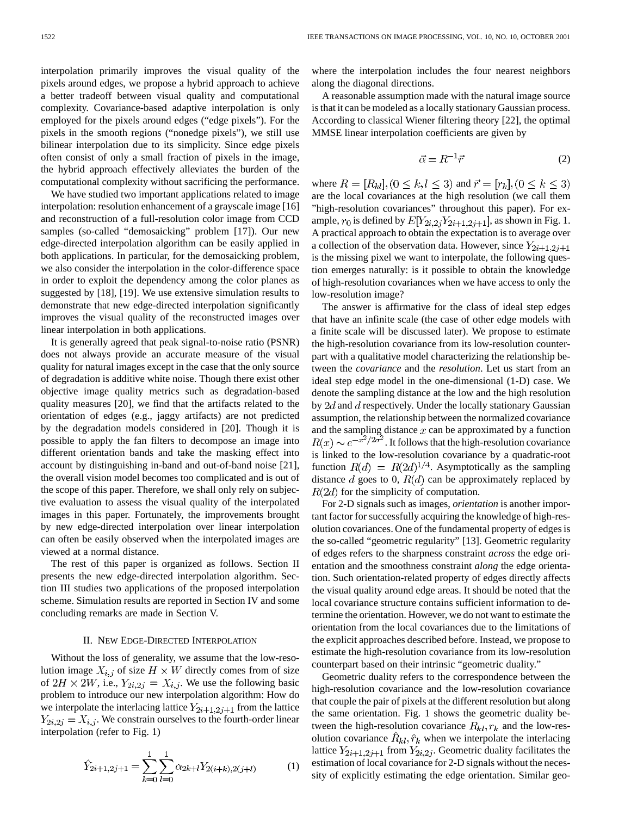interpolation primarily improves the visual quality of the pixels around edges, we propose a hybrid approach to achieve a better tradeoff between visual quality and computational complexity. Covariance-based adaptive interpolation is only employed for the pixels around edges ("edge pixels"). For the pixels in the smooth regions ("nonedge pixels"), we still use bilinear interpolation due to its simplicity. Since edge pixels often consist of only a small fraction of pixels in the image, the hybrid approach effectively alleviates the burden of the computational complexity without sacrificing the performance.

We have studied two important applications related to image interpolation: resolution enhancement of a grayscale image [16] and reconstruction of a full-resolution color image from CCD samples (so-called "demosaicking" problem [17]). Our new edge-directed interpolation algorithm can be easily applied in both applications. In particular, for the demosaicking problem, we also consider the interpolation in the color-difference space in order to exploit the dependency among the color planes as suggested by [18], [19]. We use extensive simulation results to demonstrate that new edge-directed interpolation significantly improves the visual quality of the reconstructed images over linear interpolation in both applications.

It is generally agreed that peak signal-to-noise ratio (PSNR) does not always provide an accurate measure of the visual quality for natural images except in the case that the only source of degradation is additive white noise. Though there exist other objective image quality metrics such as degradation-based quality measures [20], we find that the artifacts related to the orientation of edges (e.g., jaggy artifacts) are not predicted by the degradation models considered in [20]. Though it is possible to apply the fan filters to decompose an image into different orientation bands and take the masking effect into account by distinguishing in-band and out-of-band noise [21], the overall vision model becomes too complicated and is out of the scope of this paper. Therefore, we shall only rely on subjective evaluation to assess the visual quality of the interpolated images in this paper. Fortunately, the improvements brought by new edge-directed interpolation over linear interpolation can often be easily observed when the interpolated images are viewed at a normal distance.

The rest of this paper is organized as follows. Section II presents the new edge-directed interpolation algorithm. Section III studies two applications of the proposed interpolation scheme. Simulation results are reported in Section IV and some concluding remarks are made in Section V.

# II. NEW EDGE-DIRECTED INTERPOLATION

Without the loss of generality, we assume that the low-resolution image  $X_{i,j}$  of size  $H \times W$  directly comes from of size of  $2H \times 2W$ , i.e.,  $Y_{2i,2j} = X_{i,j}$ . We use the following basic problem to introduce our new interpolation algorithm: How do we interpolate the interlacing lattice  $Y_{2i+1,2j+1}$  from the lattice  $Y_{2i,2j} = X_{i,j}$ . We constrain ourselves to the fourth-order linear interpolation (refer to Fig. 1)

$$
\hat{Y}_{2i+1,2j+1} = \sum_{k=0}^{1} \sum_{l=0}^{1} \alpha_{2k+l} Y_{2(i+k),2(j+l)} \tag{1}
$$

where the interpolation includes the four nearest neighbors along the diagonal directions.

A reasonable assumption made with the natural image source is that it can be modeled as a locally stationary Gaussian process. According to classical Wiener filtering theory [22], the optimal MMSE linear interpolation coefficients are given by

$$
\vec{\alpha} = R^{-1}\vec{r} \tag{2}
$$

where  $R = [R_{kl}], (0 \le k, l \le 3)$  and  $\vec{r} = [r_k], (0 \le k \le 3)$ are the local covariances at the high resolution (we call them "high-resolution covariances" throughout this paper). For example,  $r_0$  is defined by  $E[Y_{2i,2j}Y_{2i+1,2j+1}]$ , as shown in Fig. 1. A practical approach to obtain the expectation is to average over a collection of the observation data. However, since  $Y_{2i+1,2i+1}$ is the missing pixel we want to interpolate, the following question emerges naturally: is it possible to obtain the knowledge of high-resolution covariances when we have access to only the low-resolution image?

The answer is affirmative for the class of ideal step edges that have an infinite scale (the case of other edge models with a finite scale will be discussed later). We propose to estimate the high-resolution covariance from its low-resolution counterpart with a qualitative model characterizing the relationship between the *covariance* and the *resolution*. Let us start from an ideal step edge model in the one-dimensional (1-D) case. We denote the sampling distance at the low and the high resolution by  $2d$  and d respectively. Under the locally stationary Gaussian assumption, the relationship between the normalized covariance and the sampling distance  $x$  can be approximated by a function  $R(x) \sim e^{-x^2/2\sigma^2}$ . It follows that the high-resolution covariance is linked to the low-resolution covariance by a quadratic-root function  $R(d) = R(2d)^{1/4}$ . Asymptotically as the sampling distance d goes to 0,  $R(d)$  can be approximately replaced by  $F(A|A)$  for the simplicity of computation.

For 2-D signals such as images, *orientation* is another important factor for successfully acquiring the knowledge of high-resolution covariances. One of the fundamental property of edges is the so-called "geometric regularity" [13]. Geometric regularity of edges refers to the sharpness constraint *across* the edge orientation and the smoothness constraint *along* the edge orientation. Such orientation-related property of edges directly affects the visual quality around edge areas. It should be noted that the local covariance structure contains sufficient information to determine the orientation. However, we do not want to estimate the orientation from the local covariances due to the limitations of the explicit approaches described before. Instead, we propose to estimate the high-resolution covariance from its low-resolution counterpart based on their intrinsic "geometric duality."

Geometric duality refers to the correspondence between the high-resolution covariance and the low-resolution covariance that couple the pair of pixels at the different resolution but along the same orientation. Fig. 1 shows the geometric duality between the high-resolution covariance  $R_{kl}, r_k$  and the low-resolution covariance  $\hat{R}_{kl}, \hat{r}_k$  when we interpolate the interlacing lattice  $Y_{2i+1,2j+1}$  from  $Y_{2i,2j}$ . Geometric duality facilitates the estimation of local covariance for 2-D signals without the necessity of explicitly estimating the edge orientation. Similar geo-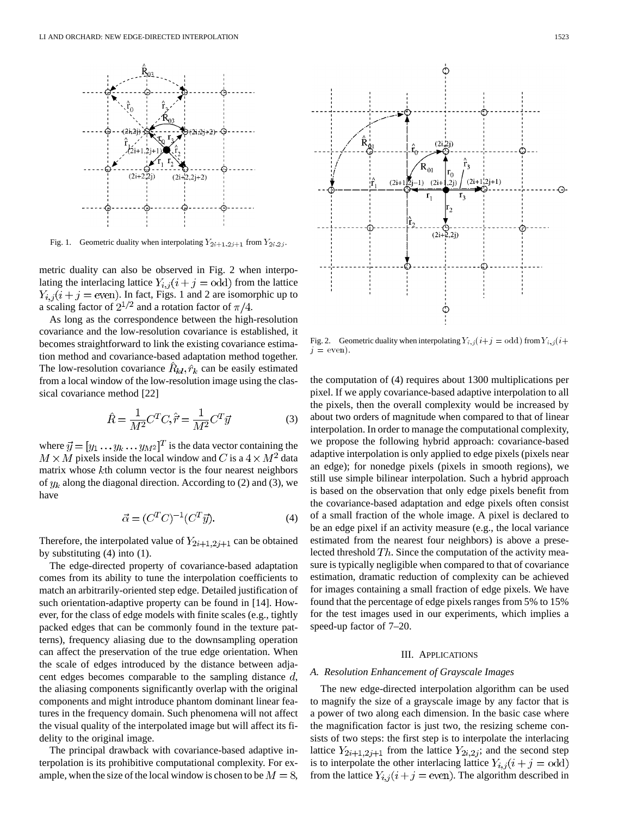

Fig. 1. Geometric duality when interpolating  $Y_{2i+1,2j+1}$  from  $Y_{2i,2j}$ .

metric duality can also be observed in Fig. 2 when interpolating the interlacing lattice  $Y_{i,j}(i + j = \text{odd})$  from the lattice  $Y_{i,j}(i + j =$  even). In fact, Figs. 1 and 2 are isomorphic up to a scaling factor of  $2^{1/2}$  and a rotation factor of  $\pi/4$ .

As long as the correspondence between the high-resolution covariance and the low-resolution covariance is established, it becomes straightforward to link the existing covariance estimation method and covariance-based adaptation method together. The low-resolution covariance  $\hat{R}_{kl}, \hat{r}_k$  can be easily estimated from a local window of the low-resolution image using the classical covariance method [22]

$$
\hat{R} = \frac{1}{M^2} C^T C, \hat{\vec{r}} = \frac{1}{M^2} C^T \vec{y}
$$
 (3)

where  $\vec{y} = [y_1 \dots y_k \dots y_{M^2}]^T$  is the data vector containing the  $M \times M$  pixels inside the local window and C is a  $4 \times M^2$  data matrix whose  $k$ th column vector is the four nearest neighbors of  $y_k$  along the diagonal direction. According to (2) and (3), we have

$$
\vec{\alpha} = (C^T C)^{-1} (C^T \vec{y}). \tag{4}
$$

Therefore, the interpolated value of  $Y_{2i+1,2j+1}$  can be obtained by substituting (4) into (1).

The edge-directed property of covariance-based adaptation comes from its ability to tune the interpolation coefficients to match an arbitrarily-oriented step edge. Detailed justification of such orientation-adaptive property can be found in [14]. However, for the class of edge models with finite scales (e.g., tightly packed edges that can be commonly found in the texture patterns), frequency aliasing due to the downsampling operation can affect the preservation of the true edge orientation. When the scale of edges introduced by the distance between adjacent edges becomes comparable to the sampling distance  $d$ , the aliasing components significantly overlap with the original components and might introduce phantom dominant linear features in the frequency domain. Such phenomena will not affect the visual quality of the interpolated image but will affect its fidelity to the original image.

The principal drawback with covariance-based adaptive interpolation is its prohibitive computational complexity. For example, when the size of the local window is chosen to be  $M = 8$ ,



Fig. 2. Geometric duality when interpolating  $Y_{i,j}(i+j = \text{odd})$  from  $Y_{i,j}(i+j = \text{odd})$  $j = even$ ).

the computation of (4) requires about 1300 multiplications per pixel. If we apply covariance-based adaptive interpolation to all the pixels, then the overall complexity would be increased by about two orders of magnitude when compared to that of linear interpolation. In order to manage the computational complexity, we propose the following hybrid approach: covariance-based adaptive interpolation is only applied to edge pixels (pixels near an edge); for nonedge pixels (pixels in smooth regions), we still use simple bilinear interpolation. Such a hybrid approach is based on the observation that only edge pixels benefit from the covariance-based adaptation and edge pixels often consist of a small fraction of the whole image. A pixel is declared to be an edge pixel if an activity measure (e.g., the local variance estimated from the nearest four neighbors) is above a preselected threshold  $Th$ . Since the computation of the activity measure is typically negligible when compared to that of covariance estimation, dramatic reduction of complexity can be achieved for images containing a small fraction of edge pixels. We have found that the percentage of edge pixels ranges from 5% to 15% for the test images used in our experiments, which implies a speed-up factor of 7–20.

#### III. APPLICATIONS

### *A. Resolution Enhancement of Grayscale Images*

The new edge-directed interpolation algorithm can be used to magnify the size of a grayscale image by any factor that is a power of two along each dimension. In the basic case where the magnification factor is just two, the resizing scheme consists of two steps: the first step is to interpolate the interlacing lattice  $Y_{2i+1,2j+1}$  from the lattice  $Y_{2i,2j}$ ; and the second step is to interpolate the other interlacing lattice  $Y_{i,j}(i + j = \text{odd})$ from the lattice  $Y_{i,j}(i + j = \text{even})$ . The algorithm described in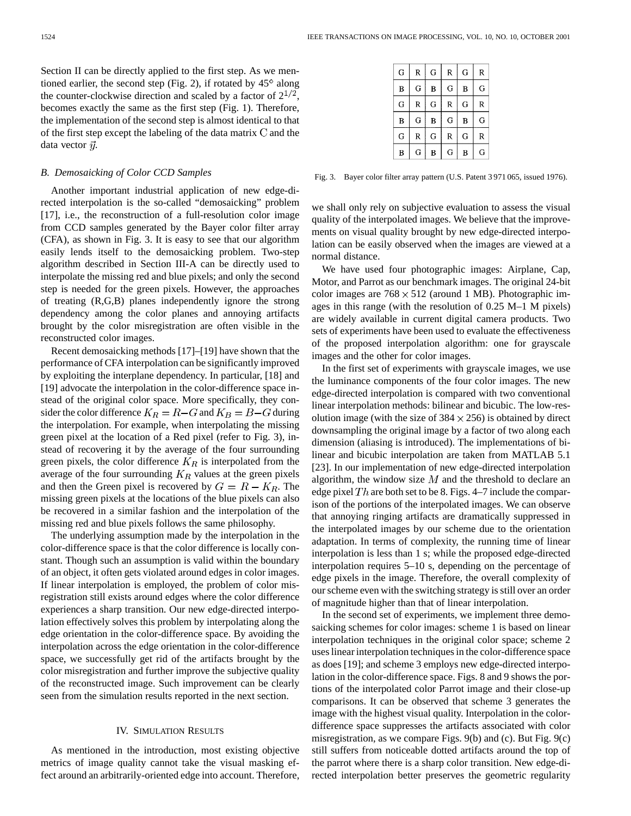Section II can be directly applied to the first step. As we mentioned earlier, the second step (Fig. 2), if rotated by  $45^{\circ}$  along the counter-clockwise direction and scaled by a factor of  $2^{1/2}$ , becomes exactly the same as the first step (Fig. 1). Therefore, the implementation of the second step is almost identical to that of the first step except the labeling of the data matrix  $C$  and the data vector  $\vec{y}$ .

## *B. Demosaicking of Color CCD Samples*

Another important industrial application of new edge-directed interpolation is the so-called "demosaicking" problem [17], i.e., the reconstruction of a full-resolution color image from CCD samples generated by the Bayer color filter array (CFA), as shown in Fig. 3. It is easy to see that our algorithm easily lends itself to the demosaicking problem. Two-step algorithm described in Section III-A can be directly used to interpolate the missing red and blue pixels; and only the second step is needed for the green pixels. However, the approaches of treating (R,G,B) planes independently ignore the strong dependency among the color planes and annoying artifacts brought by the color misregistration are often visible in the reconstructed color images.

Recent demosaicking methods [17]–[19] have shown that the performance of CFA interpolation can be significantly improved by exploiting the interplane dependency. In particular, [18] and [19] advocate the interpolation in the color-difference space instead of the original color space. More specifically, they consider the color difference  $K_R = R - G$  and  $K_B = B - G$  during the interpolation. For example, when interpolating the missing green pixel at the location of a Red pixel (refer to Fig. 3), instead of recovering it by the average of the four surrounding green pixels, the color difference  $K_R$  is interpolated from the average of the four surrounding  $K_R$  values at the green pixels and then the Green pixel is recovered by  $G = R - K_R$ . The missing green pixels at the locations of the blue pixels can also be recovered in a similar fashion and the interpolation of the missing red and blue pixels follows the same philosophy.

The underlying assumption made by the interpolation in the color-difference space is that the color difference is locally constant. Though such an assumption is valid within the boundary of an object, it often gets violated around edges in color images. If linear interpolation is employed, the problem of color misregistration still exists around edges where the color difference experiences a sharp transition. Our new edge-directed interpolation effectively solves this problem by interpolating along the edge orientation in the color-difference space. By avoiding the interpolation across the edge orientation in the color-difference space, we successfully get rid of the artifacts brought by the color misregistration and further improve the subjective quality of the reconstructed image. Such improvement can be clearly seen from the simulation results reported in the next section.

#### IV. SIMULATION RESULTS

As mentioned in the introduction, most existing objective metrics of image quality cannot take the visual masking effect around an arbitrarily-oriented edge into account. Therefore,

| G        | R                       | G | R | G | $\mathbb R$  |
|----------|-------------------------|---|---|---|--------------|
| $\bf{B}$ | G                       | B | G | B | G            |
| G        | R                       | G | R | G | $\mathbb{R}$ |
| $\bf{B}$ | Ġ                       | B | G | B | Ġ            |
| G        | $\overline{\mathbf{R}}$ | G | R | G | $\mathbb{R}$ |
| B        | Ġ                       | B | Ġ | B | Ġ            |

Fig. 3. Bayer color filter array pattern (U.S. Patent 3 971 065, issued 1976).

we shall only rely on subjective evaluation to assess the visual quality of the interpolated images. We believe that the improvements on visual quality brought by new edge-directed interpolation can be easily observed when the images are viewed at a normal distance.

We have used four photographic images: Airplane, Cap, Motor, and Parrot as our benchmark images. The original 24-bit color images are  $768 \times 512$  (around 1 MB). Photographic images in this range (with the resolution of 0.25 M–1 M pixels) are widely available in current digital camera products. Two sets of experiments have been used to evaluate the effectiveness of the proposed interpolation algorithm: one for grayscale images and the other for color images.

In the first set of experiments with grayscale images, we use the luminance components of the four color images. The new edge-directed interpolation is compared with two conventional linear interpolation methods: bilinear and bicubic. The low-resolution image (with the size of  $384 \times 256$ ) is obtained by direct downsampling the original image by a factor of two along each dimension (aliasing is introduced). The implementations of bilinear and bicubic interpolation are taken from MATLAB 5.1 [23]. In our implementation of new edge-directed interpolation algorithm, the window size  $M$  and the threshold to declare an edge pixel  $Th$  are both set to be 8. Figs. 4–7 include the comparison of the portions of the interpolated images. We can observe that annoying ringing artifacts are dramatically suppressed in the interpolated images by our scheme due to the orientation adaptation. In terms of complexity, the running time of linear interpolation is less than 1 s; while the proposed edge-directed interpolation requires 5–10 s, depending on the percentage of edge pixels in the image. Therefore, the overall complexity of our scheme even with the switching strategy is still over an order of magnitude higher than that of linear interpolation.

In the second set of experiments, we implement three demosaicking schemes for color images: scheme 1 is based on linear interpolation techniques in the original color space; scheme 2 uses linear interpolation techniques in the color-difference space as does [19]; and scheme 3 employs new edge-directed interpolation in the color-difference space. Figs. 8 and 9 shows the portions of the interpolated color Parrot image and their close-up comparisons. It can be observed that scheme 3 generates the image with the highest visual quality. Interpolation in the colordifference space suppresses the artifacts associated with color misregistration, as we compare Figs. 9(b) and (c). But Fig. 9(c) still suffers from noticeable dotted artifacts around the top of the parrot where there is a sharp color transition. New edge-directed interpolation better preserves the geometric regularity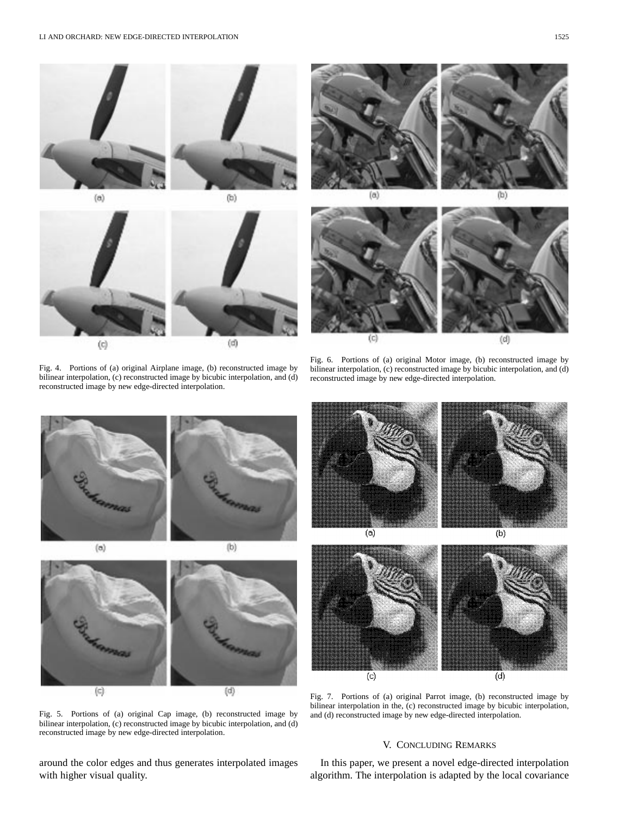

Fig. 4. Portions of (a) original Airplane image, (b) reconstructed image by bilinear interpolation, (c) reconstructed image by bicubic interpolation, and (d) reconstructed image by new edge-directed interpolation.

Fig. 6. Portions of (a) original Motor image, (b) reconstructed image by bilinear interpolation, (c) reconstructed image by bicubic interpolation, and (d) reconstructed image by new edge-directed interpolation.



Fig. 5. Portions of (a) original Cap image, (b) reconstructed image by bilinear interpolation, (c) reconstructed image by bicubic interpolation, and (d) reconstructed image by new edge-directed interpolation.

Fig. 7. Portions of (a) original Parrot image, (b) reconstructed image by bilinear interpolation in the, (c) reconstructed image by bicubic interpolation, and (d) reconstructed image by new edge-directed interpolation.

# V. CONCLUDING REMARKS

around the color edges and thus generates interpolated images with higher visual quality.

In this paper, we present a novel edge-directed interpolation algorithm. The interpolation is adapted by the local covariance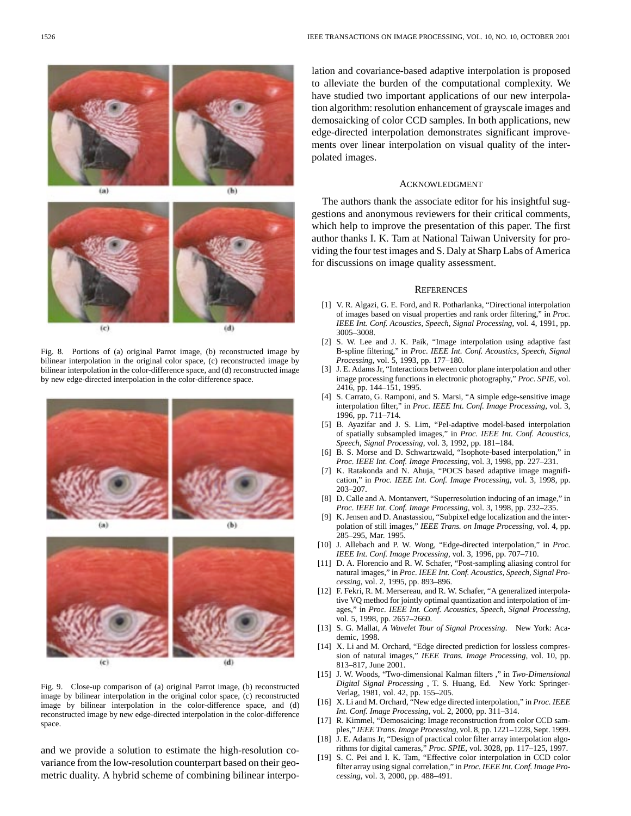



Fig. 8. Portions of (a) original Parrot image, (b) reconstructed image by bilinear interpolation in the original color space, (c) reconstructed image by bilinear interpolation in the color-difference space, and (d) reconstructed image by new edge-directed interpolation in the color-difference space.





Fig. 9. Close-up comparison of (a) original Parrot image, (b) reconstructed image by bilinear interpolation in the original color space, (c) reconstructed image by bilinear interpolation in the color-difference space, and (d) reconstructed image by new edge-directed interpolation in the color-difference space.

and we provide a solution to estimate the high-resolution covariance from the low-resolution counterpart based on their geometric duality. A hybrid scheme of combining bilinear interpolation and covariance-based adaptive interpolation is proposed to alleviate the burden of the computational complexity. We have studied two important applications of our new interpolation algorithm: resolution enhancement of grayscale images and demosaicking of color CCD samples. In both applications, new edge-directed interpolation demonstrates significant improvements over linear interpolation on visual quality of the interpolated images.

#### ACKNOWLEDGMENT

The authors thank the associate editor for his insightful suggestions and anonymous reviewers for their critical comments, which help to improve the presentation of this paper. The first author thanks I. K. Tam at National Taiwan University for providing the four test images and S. Daly at Sharp Labs of America for discussions on image quality assessment.

#### **REFERENCES**

- [1] V. R. Algazi, G. E. Ford, and R. Potharlanka, "Directional interpolation of images based on visual properties and rank order filtering," in *Proc. IEEE Int. Conf. Acoustics, Speech, Signal Processing*, vol. 4, 1991, pp. 3005–3008.
- [2] S. W. Lee and J. K. Paik, "Image interpolation using adaptive fast B-spline filtering," in *Proc. IEEE Int. Conf. Acoustics, Speech, Signal Processing*, vol. 5, 1993, pp. 177–180.
- [3] J. E. Adams Jr, "Interactions between color plane interpolation and other image processing functions in electronic photography," *Proc. SPIE*, vol. 2416, pp. 144–151, 1995.
- [4] S. Carrato, G. Ramponi, and S. Marsi, "A simple edge-sensitive image interpolation filter," in *Proc. IEEE Int. Conf. Image Processing*, vol. 3, 1996, pp. 711–714.
- [5] B. Ayazifar and J. S. Lim, "Pel-adaptive model-based interpolation of spatially subsampled images," in *Proc. IEEE Int. Conf. Acoustics, Speech, Signal Processing*, vol. 3, 1992, pp. 181–184.
- [6] B. S. Morse and D. Schwartzwald, "Isophote-based interpolation," in *Proc. IEEE Int. Conf. Image Processing*, vol. 3, 1998, pp. 227–231.
- [7] K. Ratakonda and N. Ahuja, "POCS based adaptive image magnification," in *Proc. IEEE Int. Conf. Image Processing*, vol. 3, 1998, pp. 203–207.
- [8] D. Calle and A. Montanvert, "Superresolution inducing of an image," in *Proc. IEEE Int. Conf. Image Processing*, vol. 3, 1998, pp. 232–235.
- [9] K. Jensen and D. Anastassiou, "Subpixel edge localization and the interpolation of still images," *IEEE Trans. on Image Processing*, vol. 4, pp. 285–295, Mar. 1995.
- [10] J. Allebach and P. W. Wong, "Edge-directed interpolation," in *Proc. IEEE Int. Conf. Image Processing*, vol. 3, 1996, pp. 707–710.
- [11] D. A. Florencio and R. W. Schafer, "Post-sampling aliasing control for natural images," in *Proc. IEEE Int. Conf. Acoustics, Speech, Signal Processing*, vol. 2, 1995, pp. 893–896.
- [12] F. Fekri, R. M. Mersereau, and R. W. Schafer, "A generalized interpolative VQ method for jointly optimal quantization and interpolation of images," in *Proc. IEEE Int. Conf. Acoustics, Speech, Signal Processing*, vol. 5, 1998, pp. 2657–2660.
- [13] S. G. Mallat, *A Wavelet Tour of Signal Processing*. New York: Academic, 1998.
- [14] X. Li and M. Orchard, "Edge directed prediction for lossless compression of natural images," *IEEE Trans. Image Processing*, vol. 10, pp. 813–817, June 2001.
- [15] J. W. Woods, "Two-dimensional Kalman filters ," in *Two-Dimensional Digital Signal Processing* , T. S. Huang, Ed. New York: Springer-Verlag, 1981, vol. 42, pp. 155–205.
- [16] X. Li and M. Orchard, "New edge directed interpolation," in *Proc. IEEE Int. Conf. Image Processing*, vol. 2, 2000, pp. 311–314.
- [17] R. Kimmel, "Demosaicing: Image reconstruction from color CCD samples," *IEEE Trans. Image Processing*, vol. 8, pp. 1221–1228, Sept. 1999.
- J. E. Adams Jr, "Design of practical color filter array interpolation algorithms for digital cameras," *Proc. SPIE*, vol. 3028, pp. 117–125, 1997.
- [19] S. C. Pei and I. K. Tam, "Effective color interpolation in CCD color filter array using signal correlation," in *Proc. IEEE Int. Conf. Image Processing*, vol. 3, 2000, pp. 488–491.